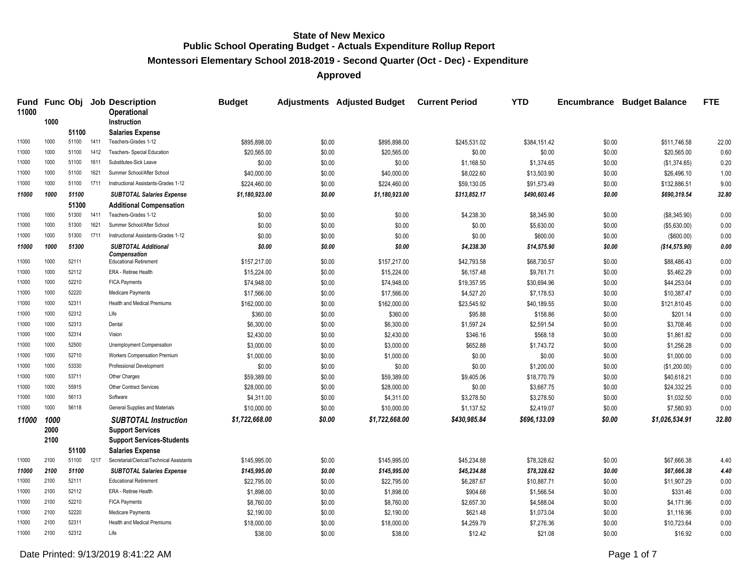**Montessori Elementary School 2018-2019 - Second Quarter (Oct - Dec) - Expenditure**

**Approved**

| <b>Fund</b><br>11000 |      |       |      | <b>Func Obj Job Description</b><br><b>Operational</b> | <b>Budget</b>  |        | Adjustments Adjusted Budget Current Period |              | <b>YTD</b>   | <b>Encumbrance</b> | <b>Budget Balance</b> | <b>FTE</b> |
|----------------------|------|-------|------|-------------------------------------------------------|----------------|--------|--------------------------------------------|--------------|--------------|--------------------|-----------------------|------------|
|                      | 1000 |       |      | <b>Instruction</b>                                    |                |        |                                            |              |              |                    |                       |            |
|                      |      | 51100 |      | <b>Salaries Expense</b>                               |                |        |                                            |              |              |                    |                       |            |
| 11000                | 1000 | 51100 | 1411 | Teachers-Grades 1-12                                  | \$895,898.00   | \$0.00 | \$895,898.00                               | \$245,531.02 | \$384,151.42 | \$0.00             | \$511,746.58          | 22.00      |
| 11000                | 1000 | 51100 | 1412 | Teachers- Special Education                           | \$20,565.00    | \$0.00 | \$20,565.00                                | \$0.00       | \$0.00       | \$0.00             | \$20,565.00           | 0.60       |
| 11000                | 1000 | 51100 | 1611 | Substitutes-Sick Leave                                | \$0.00         | \$0.00 | \$0.00                                     | \$1,168.50   | \$1,374.65   | \$0.00             | (\$1,374.65)          | 0.20       |
| 11000                | 1000 | 51100 | 1621 | Summer School/After School                            | \$40,000.00    | \$0.00 | \$40,000.00                                | \$8,022.60   | \$13,503.90  | \$0.00             | \$26,496.10           | 1.00       |
| 11000                | 1000 | 51100 | 1711 | Instructional Assistants-Grades 1-12                  | \$224,460.00   | \$0.00 | \$224,460.00                               | \$59,130.05  | \$91,573.49  | \$0.00             | \$132,886.51          | 9.00       |
| 11000                | 1000 | 51100 |      | <b>SUBTOTAL Salaries Expense</b>                      | \$1,180,923.00 | \$0.00 | \$1,180,923.00                             | \$313,852.17 | \$490,603.46 | \$0.00             | \$690,319.54          | 32.80      |
|                      |      | 51300 |      | <b>Additional Compensation</b>                        |                |        |                                            |              |              |                    |                       |            |
| 11000                | 1000 | 51300 | 1411 | Teachers-Grades 1-12                                  | \$0.00         | \$0.00 | \$0.00                                     | \$4,238.30   | \$8,345.90   | \$0.00             | (\$8,345.90)          | 0.00       |
| 11000                | 1000 | 51300 | 1621 | Summer School/After School                            | \$0.00         | \$0.00 | \$0.00                                     | \$0.00       | \$5,630.00   | \$0.00             | (\$5,630.00)          | 0.00       |
| 11000                | 1000 | 51300 | 1711 | Instructional Assistants-Grades 1-12                  | \$0.00         | \$0.00 | \$0.00                                     | \$0.00       | \$600.00     | \$0.00             | (\$600.00)            | 0.00       |
| 11000                | 1000 | 51300 |      | <b>SUBTOTAL Additional</b>                            | \$0.00         | \$0.00 | \$0.00                                     | \$4,238.30   | \$14,575.90  | \$0.00             | (\$14,575.90)         | 0.00       |
| 11000                | 1000 | 52111 |      | Compensation<br><b>Educational Retirement</b>         | \$157,217.00   | \$0.00 | \$157,217.00                               | \$42,793.58  | \$68,730.57  | \$0.00             | \$88,486.43           | 0.00       |
| 11000                | 1000 | 52112 |      | ERA - Retiree Health                                  | \$15,224.00    | \$0.00 | \$15,224.00                                | \$6,157.48   | \$9,761.71   | \$0.00             | \$5,462.29            | 0.00       |
| 11000                | 1000 | 52210 |      | <b>FICA Payments</b>                                  | \$74,948.00    | \$0.00 | \$74,948.00                                | \$19,357.95  | \$30,694.96  | \$0.00             | \$44,253.04           | 0.00       |
| 11000                | 1000 | 52220 |      | Medicare Payments                                     | \$17,566.00    | \$0.00 | \$17,566.00                                | \$4,527.20   | \$7,178.53   | \$0.00             | \$10,387.47           | 0.00       |
| 11000                | 1000 | 52311 |      | Health and Medical Premiums                           | \$162,000.00   | \$0.00 | \$162,000.00                               | \$23,545.92  | \$40,189.55  | \$0.00             | \$121,810.45          | 0.00       |
| 11000                | 1000 | 52312 |      | Life                                                  | \$360.00       | \$0.00 | \$360.00                                   | \$95.88      | \$158.86     | \$0.00             | \$201.14              | 0.00       |
| 11000                | 1000 | 52313 |      | Dental                                                | \$6,300.00     | \$0.00 | \$6,300.00                                 | \$1,597.24   | \$2,591.54   | \$0.00             | \$3,708.46            | 0.00       |
| 11000                | 1000 | 52314 |      | Vision                                                | \$2,430.00     | \$0.00 | \$2,430.00                                 | \$346.16     | \$568.18     | \$0.00             | \$1,861.82            | 0.00       |
| 11000                | 1000 | 52500 |      | Unemployment Compensation                             | \$3,000.00     | \$0.00 | \$3,000.00                                 | \$652.88     | \$1,743.72   | \$0.00             | \$1,256.28            | 0.00       |
| 11000                | 1000 | 52710 |      | Workers Compensation Premium                          | \$1,000.00     | \$0.00 | \$1,000.00                                 | \$0.00       | \$0.00       | \$0.00             | \$1,000.00            | 0.00       |
| 11000                | 1000 | 53330 |      | Professional Development                              | \$0.00         | \$0.00 | \$0.00                                     | \$0.00       | \$1,200.00   | \$0.00             | (\$1,200.00)          | 0.00       |
| 11000                | 1000 | 53711 |      | Other Charges                                         | \$59,389.00    | \$0.00 | \$59,389.00                                | \$9,405.06   | \$18,770.79  | \$0.00             | \$40,618.21           | 0.00       |
| 11000                | 1000 | 55915 |      | <b>Other Contract Services</b>                        | \$28,000.00    | \$0.00 | \$28,000.00                                | \$0.00       | \$3,667.75   | \$0.00             | \$24,332.25           | 0.00       |
| 11000                | 1000 | 56113 |      | Software                                              | \$4,311.00     | \$0.00 | \$4,311.00                                 | \$3,278.50   | \$3,278.50   | \$0.00             | \$1,032.50            | 0.00       |
| 11000                | 1000 | 56118 |      | General Supplies and Materials                        | \$10,000.00    | \$0.00 | \$10,000.00                                | \$1,137.52   | \$2,419.07   | \$0.00             | \$7,580.93            | 0.00       |
| 11000                | 1000 |       |      | <b>SUBTOTAL Instruction</b>                           | \$1,722,668.00 | \$0.00 | \$1,722,668.00                             | \$430,985.84 | \$696,133.09 | \$0.00             | \$1,026,534.91        | 32.80      |
|                      | 2000 |       |      | <b>Support Services</b>                               |                |        |                                            |              |              |                    |                       |            |
|                      | 2100 |       |      | <b>Support Services-Students</b>                      |                |        |                                            |              |              |                    |                       |            |
|                      |      | 51100 |      | <b>Salaries Expense</b>                               |                |        |                                            |              |              |                    |                       |            |
| 11000                | 2100 | 51100 | 1217 | Secretarial/Clerical/Technical Assistants             | \$145,995.00   | \$0.00 | \$145,995.00                               | \$45,234.88  | \$78,328.62  | \$0.00             | \$67,666.38           | 4.40       |
| 11000                | 2100 | 51100 |      | <b>SUBTOTAL Salaries Expense</b>                      | \$145,995.00   | \$0.00 | \$145,995.00                               | \$45,234.88  | \$78,328.62  | \$0.00             | \$67,666.38           | 4.40       |
| 11000                | 2100 | 52111 |      | <b>Educational Retirement</b>                         | \$22,795.00    | \$0.00 | \$22,795.00                                | \$6,287.67   | \$10,887.71  | \$0.00             | \$11,907.29           | 0.00       |
| 11000                | 2100 | 52112 |      | <b>ERA - Retiree Health</b>                           | \$1,898.00     | \$0.00 | \$1,898.00                                 | \$904.68     | \$1,566.54   | \$0.00             | \$331.46              | 0.00       |
| 11000                | 2100 | 52210 |      | <b>FICA Payments</b>                                  | \$8,760.00     | \$0.00 | \$8,760.00                                 | \$2,657.30   | \$4,588.04   | \$0.00             | \$4,171.96            | 0.00       |
| 11000                | 2100 | 52220 |      | Medicare Payments                                     | \$2,190.00     | \$0.00 | \$2,190.00                                 | \$621.48     | \$1,073.04   | \$0.00             | \$1,116.96            | 0.00       |
| 11000                | 2100 | 52311 |      | Health and Medical Premiums                           | \$18,000.00    | \$0.00 | \$18,000.00                                | \$4,259.79   | \$7,276.36   | \$0.00             | \$10,723.64           | 0.00       |
| 11000                | 2100 | 52312 |      | Life                                                  | \$38.00        | \$0.00 | \$38.00                                    | \$12.42      | \$21.08      | \$0.00             | \$16.92               | 0.00       |
|                      |      |       |      |                                                       |                |        |                                            |              |              |                    |                       |            |

Date Printed:  $9/13/20198.41:22 AM$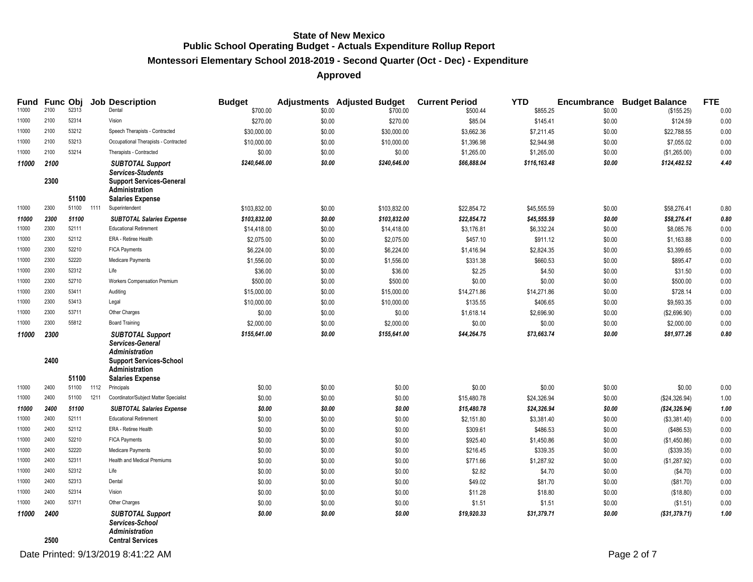# **Montessori Elementary School 2018-2019 - Second Quarter (Oct - Dec) - Expenditure**

| <b>Fund</b> |              |            |      | <b>Func Obj Job Description</b>                                                                                                 | <b>Budget</b> |        | <b>Adjustments</b> Adjusted Budget | <b>Current Period</b> | <b>YTD</b>   |        | <b>Encumbrance Budget Balance</b> | <b>FTE</b> |
|-------------|--------------|------------|------|---------------------------------------------------------------------------------------------------------------------------------|---------------|--------|------------------------------------|-----------------------|--------------|--------|-----------------------------------|------------|
| 11000       | 2100         | 52313      |      | Dental                                                                                                                          | \$700.00      | \$0.00 | \$700.00                           | \$500.44              | \$855.25     | \$0.00 | (\$155.25)                        | 0.00       |
| 11000       | 2100         | 52314      |      | Vision                                                                                                                          | \$270.00      | \$0.00 | \$270.00                           | \$85.04               | \$145.41     | \$0.00 | \$124.59                          | 0.00       |
| 11000       | 2100         | 53212      |      | Speech Therapists - Contracted                                                                                                  | \$30,000.00   | \$0.00 | \$30,000.00                        | \$3,662.36            | \$7,211.45   | \$0.00 | \$22,788.55                       | 0.00       |
| 11000       | 2100         | 53213      |      | Occupational Therapists - Contracted                                                                                            | \$10,000.00   | \$0.00 | \$10,000.00                        | \$1,396.98            | \$2,944.98   | \$0.00 | \$7,055.02                        | 0.00       |
| 11000       | 2100         | 53214      |      | Therapists - Contracted                                                                                                         | \$0.00        | \$0.00 | \$0.00                             | \$1,265.00            | \$1,265.00   | \$0.00 | (\$1,265.00)                      | 0.00       |
| 11000       | 2100         |            |      | <b>SUBTOTAL Support</b>                                                                                                         | \$240,646.00  | \$0.00 | \$240,646.00                       | \$66,888.04           | \$116,163.48 | \$0.00 | \$124,482.52                      | 4.40       |
|             | 2300         | 51100      |      | <b>Services-Students</b><br><b>Support Services-General</b><br><b>Administration</b><br><b>Salaries Expense</b>                 |               |        |                                    |                       |              |        |                                   |            |
| 11000       | 2300         | 51100 1111 |      | Superintendent                                                                                                                  | \$103,832.00  | \$0.00 | \$103,832.00                       | \$22,854.72           | \$45,555.59  | \$0.00 | \$58,276.41                       | 0.80       |
| 11000       | 2300         | 51100      |      | <b>SUBTOTAL Salaries Expense</b>                                                                                                | \$103,832.00  | \$0.00 | \$103,832.00                       | \$22,854.72           | \$45,555.59  | \$0.00 | \$58,276.41                       | 0.80       |
| 11000       | 2300         | 52111      |      | <b>Educational Retirement</b>                                                                                                   | \$14,418.00   | \$0.00 | \$14,418.00                        | \$3,176.81            | \$6,332.24   | \$0.00 | \$8,085.76                        | 0.00       |
| 11000       | 2300         | 52112      |      | ERA - Retiree Health                                                                                                            | \$2,075.00    | \$0.00 | \$2,075.00                         | \$457.10              | \$911.12     | \$0.00 | \$1,163.88                        | 0.00       |
| 11000       | 2300         | 52210      |      | <b>FICA Payments</b>                                                                                                            | \$6,224.00    | \$0.00 | \$6,224.00                         | \$1,416.94            | \$2,824.35   | \$0.00 | \$3.399.65                        | 0.00       |
| 11000       | 2300         | 52220      |      | Medicare Payments                                                                                                               | \$1,556.00    | \$0.00 | \$1,556.00                         | \$331.38              | \$660.53     | \$0.00 | \$895.47                          | 0.00       |
| 11000       | 2300         | 52312      |      | Life                                                                                                                            | \$36.00       | \$0.00 | \$36.00                            | \$2.25                | \$4.50       | \$0.00 | \$31.50                           | 0.00       |
| 11000       | 2300         | 52710      |      | Workers Compensation Premium                                                                                                    | \$500.00      | \$0.00 | \$500.00                           | \$0.00                | \$0.00       | \$0.00 | \$500.00                          | 0.00       |
| 11000       | 2300         | 53411      |      | Auditing                                                                                                                        | \$15,000.00   | \$0.00 | \$15,000.00                        | \$14,271.86           | \$14,271.86  | \$0.00 | \$728.14                          | 0.00       |
| 11000       | 2300         | 53413      |      | Legal                                                                                                                           | \$10,000.00   | \$0.00 | \$10,000.00                        | \$135.55              | \$406.65     | \$0.00 | \$9,593.35                        | 0.00       |
| 11000       | 2300         | 53711      |      | Other Charges                                                                                                                   | \$0.00        | \$0.00 | \$0.00                             | \$1,618.14            | \$2,696.90   | \$0.00 | (\$2,696.90)                      | 0.00       |
| 11000       | 2300         | 55812      |      | <b>Board Training</b>                                                                                                           | \$2,000.00    | \$0.00 | \$2,000.00                         | \$0.00                | \$0.00       | \$0.00 | \$2,000.00                        | 0.00       |
| 11000       | 2300         |            |      | <b>SUBTOTAL Support</b>                                                                                                         | \$155,641.00  | \$0.00 | \$155,641.00                       | \$44,264.75           | \$73,663.74  | \$0.00 | \$81,977.26                       | 0.80       |
|             | 2400         | 51100      |      | Services-General<br><b>Administration</b><br><b>Support Services-School</b><br><b>Administration</b><br><b>Salaries Expense</b> |               |        |                                    |                       |              |        |                                   |            |
| 11000       | 2400         | 51100      | 1112 | Principals                                                                                                                      | \$0.00        | \$0.00 | \$0.00                             | \$0.00                | \$0.00       | \$0.00 | \$0.00                            | 0.00       |
| 11000       | 2400         | 51100      | 1211 | Coordinator/Subject Matter Specialist                                                                                           | \$0.00        | \$0.00 | \$0.00                             | \$15,480.78           | \$24,326.94  | \$0.00 | (\$24,326.94)                     | 1.00       |
| 11000       | 2400         | 51100      |      | <b>SUBTOTAL Salaries Expense</b>                                                                                                | \$0.00        | \$0.00 | \$0.00                             | \$15,480.78           | \$24,326.94  | \$0.00 | (\$24,326.94)                     | 1.00       |
| 11000       | 2400         | 52111      |      | <b>Educational Retirement</b>                                                                                                   | \$0.00        | \$0.00 | \$0.00                             | \$2,151.80            | \$3,381.40   | \$0.00 | (\$3,381.40)                      | 0.00       |
| 11000       | 2400         | 52112      |      | ERA - Retiree Health                                                                                                            | \$0.00        | \$0.00 | \$0.00                             | \$309.61              | \$486.53     | \$0.00 | (\$486.53)                        | 0.00       |
| 11000       | 2400         | 52210      |      | <b>FICA Payments</b>                                                                                                            | \$0.00        | \$0.00 | \$0.00                             | \$925.40              | \$1,450.86   | \$0.00 | (\$1,450.86)                      | 0.00       |
| 11000       | 2400         | 52220      |      | Medicare Payments                                                                                                               | \$0.00        | \$0.00 | \$0.00                             | \$216.45              | \$339.35     | \$0.00 | (\$339.35)                        | 0.00       |
| 11000       | 2400         | 52311      |      | <b>Health and Medical Premiums</b>                                                                                              | \$0.00        | \$0.00 | \$0.00                             | \$771.66              | \$1,287.92   | \$0.00 | (\$1,287.92)                      | 0.00       |
| 11000       | 2400         | 52312      |      | Life                                                                                                                            | \$0.00        | \$0.00 | \$0.00                             | \$2.82                | \$4.70       | \$0.00 | (\$4.70)                          | 0.00       |
| 11000       | 2400         | 52313      |      | Dental                                                                                                                          | \$0.00        | \$0.00 | \$0.00                             | \$49.02               | \$81.70      | \$0.00 | (\$81.70)                         | 0.00       |
| 11000       | 2400         | 52314      |      | Vision                                                                                                                          | \$0.00        | \$0.00 | \$0.00                             | \$11.28               | \$18.80      | \$0.00 | (\$18.80)                         | 0.00       |
| 11000       | 2400         | 53711      |      | Other Charges                                                                                                                   | \$0.00        | \$0.00 | \$0.00                             | \$1.51                | \$1.51       | \$0.00 | (\$1.51)                          | 0.00       |
| 11000       | 2400<br>2500 |            |      | <b>SUBTOTAL Support</b><br>Services-School<br><b>Administration</b><br><b>Central Services</b>                                  | \$0.00        | \$0.00 | \$0.00                             | \$19,920.33           | \$31,379.71  | \$0.00 | (\$31,379.71)                     | 1.00       |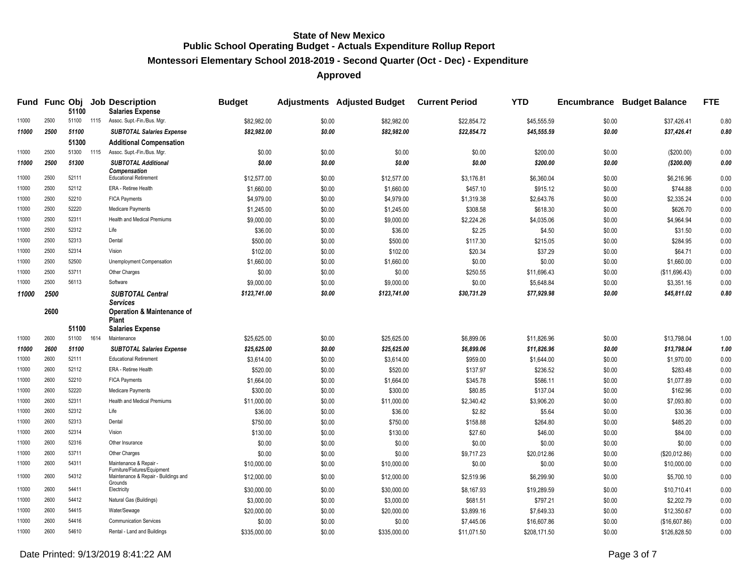**Montessori Elementary School 2018-2019 - Second Quarter (Oct - Dec) - Expenditure**

|       |      | 51100      |      | Fund Func Obj Job Description<br><b>Salaries Expense</b>                        | <b>Budget</b> |        | Adjustments Adjusted Budget Current Period |             | <b>YTD</b>   |        | <b>Encumbrance Budget Balance</b> | <b>FTE</b> |
|-------|------|------------|------|---------------------------------------------------------------------------------|---------------|--------|--------------------------------------------|-------------|--------------|--------|-----------------------------------|------------|
| 11000 | 2500 | 51100      | 1115 | Assoc. Supt.-Fin./Bus. Mgr.                                                     | \$82,982.00   | \$0.00 | \$82.982.00                                | \$22.854.72 | \$45,555.59  | \$0.00 | \$37,426.41                       | 0.80       |
| 11000 | 2500 | 51100      |      | <b>SUBTOTAL Salaries Expense</b>                                                | \$82,982.00   | \$0.00 | \$82,982.00                                | \$22,854.72 | \$45,555.59  | \$0.00 | \$37,426.41                       | 0.80       |
|       |      | 51300      |      | <b>Additional Compensation</b>                                                  |               |        |                                            |             |              |        |                                   |            |
| 11000 | 2500 | 51300      | 1115 | Assoc. Supt.-Fin./Bus. Mgr.                                                     | \$0.00        | \$0.00 | \$0.00                                     | \$0.00      | \$200.00     | \$0.00 | (\$200.00)                        | 0.00       |
| 11000 | 2500 | 51300      |      | <b>SUBTOTAL Additional</b>                                                      | \$0.00        | \$0.00 | \$0.00                                     | \$0.00      | \$200.00     | \$0.00 | (\$200.00)                        | 0.00       |
| 11000 | 2500 | 52111      |      | <b>Compensation</b><br><b>Educational Retirement</b>                            | \$12,577.00   | \$0.00 | \$12,577.00                                | \$3,176.81  | \$6,360.04   | \$0.00 | \$6,216.96                        | 0.00       |
| 11000 | 2500 | 52112      |      | <b>ERA - Retiree Health</b>                                                     | \$1,660.00    | \$0.00 | \$1,660.00                                 | \$457.10    | \$915.12     | \$0.00 | \$744.88                          | 0.00       |
| 11000 | 2500 | 52210      |      | <b>FICA Payments</b>                                                            | \$4,979.00    | \$0.00 | \$4,979.00                                 | \$1,319.38  | \$2,643.76   | \$0.00 | \$2,335.24                        | 0.00       |
| 11000 | 2500 | 52220      |      | Medicare Payments                                                               | \$1,245.00    | \$0.00 | \$1,245.00                                 | \$308.58    | \$618.30     | \$0.00 | \$626.70                          | 0.00       |
| 11000 | 2500 | 52311      |      | Health and Medical Premiums                                                     | \$9,000.00    | \$0.00 | \$9,000.00                                 | \$2,224.26  | \$4,035.06   | \$0.00 | \$4,964.94                        | 0.00       |
| 11000 | 2500 | 52312      |      | Life                                                                            | \$36.00       | \$0.00 | \$36.00                                    | \$2.25      | \$4.50       | \$0.00 | \$31.50                           | 0.00       |
| 11000 | 2500 | 52313      |      | Dental                                                                          | \$500.00      | \$0.00 | \$500.00                                   | \$117.30    | \$215.05     | \$0.00 | \$284.95                          | 0.00       |
| 11000 | 2500 | 52314      |      | Vision                                                                          | \$102.00      | \$0.00 | \$102.00                                   | \$20.34     | \$37.29      | \$0.00 | \$64.71                           | 0.00       |
| 11000 | 2500 | 52500      |      | Unemployment Compensation                                                       | \$1,660.00    | \$0.00 | \$1,660.00                                 | \$0.00      | \$0.00       | \$0.00 | \$1,660.00                        | 0.00       |
| 11000 | 2500 | 53711      |      | Other Charges                                                                   | \$0.00        | \$0.00 | \$0.00                                     | \$250.55    | \$11,696.43  | \$0.00 | (\$11,696.43)                     | 0.00       |
| 11000 | 2500 | 56113      |      | Software                                                                        | \$9,000.00    | \$0.00 | \$9,000.00                                 | \$0.00      | \$5,648.84   | \$0.00 | \$3,351.16                        | 0.00       |
|       |      |            |      |                                                                                 |               | \$0.00 |                                            |             |              |        |                                   | 0.80       |
| 11000 | 2500 |            |      | <b>SUBTOTAL Central</b><br><b>Services</b>                                      | \$123,741.00  |        | \$123,741.00                               | \$30,731.29 | \$77,929.98  | \$0.00 | \$45,811.02                       |            |
|       | 2600 |            |      | <b>Operation &amp; Maintenance of</b><br><b>Plant</b>                           |               |        |                                            |             |              |        |                                   |            |
|       |      | 51100      |      | <b>Salaries Expense</b>                                                         |               |        |                                            |             |              |        |                                   |            |
| 11000 | 2600 | 51100 1614 |      | Maintenance                                                                     | \$25,625.00   | \$0.00 | \$25,625.00                                | \$6,899.06  | \$11,826.96  | \$0.00 | \$13,798.04                       | 1.00       |
| 11000 | 2600 | 51100      |      | <b>SUBTOTAL Salaries Expense</b>                                                | \$25,625.00   | \$0.00 | \$25,625.00                                | \$6,899.06  | \$11,826.96  | \$0.00 | \$13,798.04                       | 1.00       |
| 11000 | 2600 | 52111      |      | <b>Educational Retirement</b>                                                   | \$3,614.00    | \$0.00 | \$3,614.00                                 | \$959.00    | \$1,644.00   | \$0.00 | \$1,970.00                        | 0.00       |
| 11000 | 2600 | 52112      |      | ERA - Retiree Health                                                            | \$520.00      | \$0.00 | \$520.00                                   | \$137.97    | \$236.52     | \$0.00 | \$283.48                          | 0.00       |
| 11000 | 2600 | 52210      |      | <b>FICA Payments</b>                                                            | \$1,664.00    | \$0.00 | \$1,664.00                                 | \$345.78    | \$586.11     | \$0.00 | \$1,077.89                        | 0.00       |
| 11000 | 2600 | 52220      |      | Medicare Payments                                                               | \$300.00      | \$0.00 | \$300.00                                   | \$80.85     | \$137.04     | \$0.00 | \$162.96                          | 0.00       |
| 11000 | 2600 | 52311      |      | Health and Medical Premiums                                                     | \$11,000.00   | \$0.00 | \$11,000.00                                | \$2,340.42  | \$3,906.20   | \$0.00 | \$7,093.80                        | 0.00       |
| 11000 | 2600 | 52312      |      | Life                                                                            | \$36.00       | \$0.00 | \$36.00                                    | \$2.82      | \$5.64       | \$0.00 | \$30.36                           | 0.00       |
| 11000 | 2600 | 52313      |      | Dental                                                                          | \$750.00      | \$0.00 | \$750.00                                   | \$158.88    | \$264.80     | \$0.00 | \$485.20                          | 0.00       |
| 11000 | 2600 | 52314      |      | Vision                                                                          | \$130.00      | \$0.00 | \$130.00                                   | \$27.60     | \$46.00      | \$0.00 | \$84.00                           | 0.00       |
| 11000 | 2600 | 52316      |      | Other Insurance                                                                 | \$0.00        | \$0.00 | \$0.00                                     | \$0.00      | \$0.00       | \$0.00 | \$0.00                            | 0.00       |
| 11000 | 2600 | 53711      |      | Other Charges                                                                   | \$0.00        | \$0.00 | \$0.00                                     | \$9,717.23  | \$20,012.86  | \$0.00 | (\$20,012.86)                     | 0.00       |
| 11000 | 2600 | 54311      |      | Maintenance & Repair                                                            | \$10,000.00   | \$0.00 | \$10,000.00                                | \$0.00      | \$0.00       | \$0.00 | \$10,000.00                       | 0.00       |
| 11000 | 2600 | 54312      |      | Furniture/Fixtures/Equipment<br>Maintenance & Repair - Buildings and<br>Grounds | \$12,000.00   | \$0.00 | \$12,000.00                                | \$2,519.96  | \$6,299.90   | \$0.00 | \$5,700.10                        | 0.00       |
| 11000 | 2600 | 54411      |      | Electricity                                                                     | \$30,000.00   | \$0.00 | \$30,000.00                                | \$8,167.93  | \$19,289.59  | \$0.00 | \$10,710.41                       | 0.00       |
| 11000 | 2600 | 54412      |      | Natural Gas (Buildings)                                                         | \$3,000.00    | \$0.00 | \$3,000.00                                 | \$681.51    | \$797.21     | \$0.00 | \$2,202.79                        | 0.00       |
| 11000 | 2600 | 54415      |      | Water/Sewage                                                                    | \$20,000.00   | \$0.00 | \$20,000.00                                | \$3,899.16  | \$7,649.33   | \$0.00 | \$12,350.67                       | 0.00       |
| 11000 | 2600 | 54416      |      | <b>Communication Services</b>                                                   | \$0.00        | \$0.00 | \$0.00                                     | \$7,445.06  | \$16,607.86  | \$0.00 | (\$16,607.86)                     | 0.00       |
| 11000 | 2600 | 54610      |      | Rental - Land and Buildings                                                     | \$335,000.00  | \$0.00 | \$335.000.00                               | \$11,071.50 | \$208,171.50 | \$0.00 | \$126,828.50                      | 0.00       |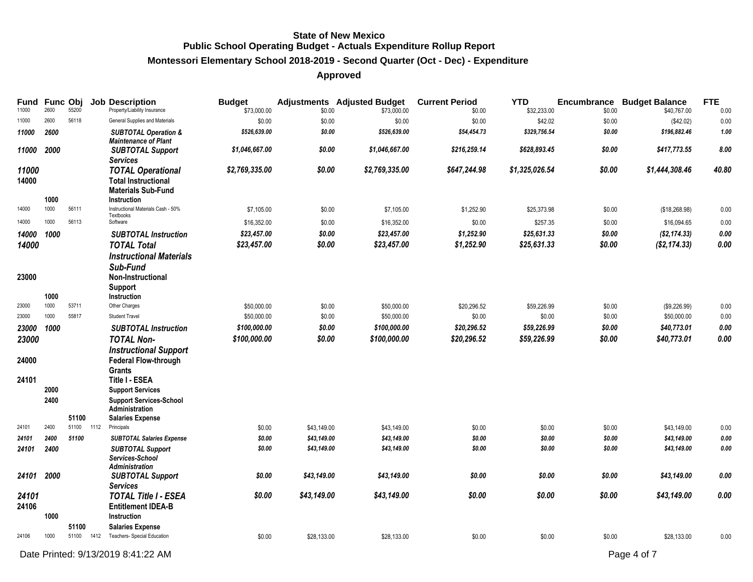#### **Montessori Elementary School 2018-2019 - Second Quarter (Oct - Dec) - Expenditure**

| Fund<br>11000  | <b>Func Obj</b><br>2600 | 55200 |      | <b>Job Description</b><br>Property/Liability Insurance                                             | <b>Budget</b><br>\$73,000.00 | \$0.00           | <b>Adjustments</b> Adjusted Budget<br>\$73,000.00 | <b>Current Period</b><br>\$0.00 | <b>YTD</b><br>\$32,233.00 | <b>Encumbrance</b><br>\$0.00 | <b>Budget Balance</b><br>\$40,767.00 | <b>FTE</b><br>0.00 |
|----------------|-------------------------|-------|------|----------------------------------------------------------------------------------------------------|------------------------------|------------------|---------------------------------------------------|---------------------------------|---------------------------|------------------------------|--------------------------------------|--------------------|
| 11000          | 2600                    | 56118 |      | General Supplies and Materials                                                                     | \$0.00                       | \$0.00           | \$0.00                                            | \$0.00                          | \$42.02                   | \$0.00                       | (\$42.02)                            | 0.00               |
| 11000          | 2600                    |       |      | <b>SUBTOTAL Operation &amp;</b><br><b>Maintenance of Plant</b>                                     | \$526,639.00                 | \$0.00           | \$526,639.00                                      | \$54,454.73                     | \$329,756.54              | \$0.00                       | \$196,882.46                         | 1.00               |
| 11000          | 2000                    |       |      | <b>SUBTOTAL Support</b><br><b>Services</b>                                                         | \$1,046,667.00               | \$0.00           | \$1,046,667.00                                    | \$216,259.14                    | \$628,893.45              | \$0.00                       | \$417,773.55                         | 8.00               |
| 11000<br>14000 | 1000                    |       |      | <b>TOTAL Operational</b><br><b>Total Instructional</b><br><b>Materials Sub-Fund</b><br>Instruction | \$2,769,335.00               | \$0.00           | \$2,769,335.00                                    | \$647,244.98                    | \$1,325,026.54            | \$0.00                       | \$1,444,308.46                       | 40.80              |
| 14000          | 1000                    | 56111 |      | Instructional Materials Cash - 50%                                                                 | \$7,105.00                   | \$0.00           | \$7,105.00                                        | \$1,252.90                      | \$25,373.98               | \$0.00                       | (\$18,268.98)                        | 0.00               |
| 14000          | 1000                    | 56113 |      | Textbooks<br>Software                                                                              | \$16,352.00                  | \$0.00           | \$16,352.00                                       | \$0.00                          | \$257.35                  | \$0.00                       | \$16,094.65                          | 0.00               |
| 14000          | 1000                    |       |      | <b>SUBTOTAL Instruction</b>                                                                        | \$23,457.00                  | \$0.00           | \$23,457.00                                       | \$1,252.90                      | \$25,631.33               | \$0.00                       | (\$2, 174.33)                        | 0.00               |
| 14000          |                         |       |      | <b>TOTAL Total</b>                                                                                 | \$23,457.00                  | \$0.00           | \$23,457.00                                       | \$1,252.90                      | \$25,631.33               | \$0.00                       | $(\$2, 174.33)$                      | 0.00               |
| 23000          |                         |       |      | <b>Instructional Materials</b><br>Sub-Fund<br>Non-Instructional<br>Support                         |                              |                  |                                                   |                                 |                           |                              |                                      |                    |
| 23000          | 1000<br>1000            | 53711 |      | Instruction<br>Other Charges                                                                       |                              |                  |                                                   |                                 |                           |                              |                                      |                    |
| 23000          | 1000                    | 55817 |      | <b>Student Travel</b>                                                                              | \$50,000.00<br>\$50,000.00   | \$0.00<br>\$0.00 | \$50,000.00<br>\$50,000.00                        | \$20,296.52<br>\$0.00           | \$59,226.99<br>\$0.00     | \$0.00<br>\$0.00             | (\$9,226.99)<br>\$50,000.00          | 0.00<br>0.00       |
| 23000          | 1000                    |       |      | <b>SUBTOTAL Instruction</b>                                                                        | \$100,000.00                 | \$0.00           | \$100,000.00                                      | \$20,296.52                     | \$59,226.99               | \$0.00                       | \$40,773.01                          | $0.00\,$           |
| 23000          |                         |       |      | <b>TOTAL Non-</b>                                                                                  | \$100,000.00                 | \$0.00           | \$100,000.00                                      | \$20,296.52                     | \$59,226.99               | \$0.00                       | \$40,773.01                          | 0.00               |
| 24000          |                         |       |      | <b>Instructional Support</b><br><b>Federal Flow-through</b><br>Grants                              |                              |                  |                                                   |                                 |                           |                              |                                      |                    |
| 24101          |                         |       |      | <b>Title I - ESEA</b>                                                                              |                              |                  |                                                   |                                 |                           |                              |                                      |                    |
|                | 2000                    |       |      | <b>Support Services</b>                                                                            |                              |                  |                                                   |                                 |                           |                              |                                      |                    |
|                | 2400                    | 51100 |      | <b>Support Services-School</b><br>Administration<br><b>Salaries Expense</b>                        |                              |                  |                                                   |                                 |                           |                              |                                      |                    |
| 24101          | 2400                    | 51100 | 1112 | Principals                                                                                         | \$0.00                       | \$43,149.00      | \$43,149.00                                       | \$0.00                          | \$0.00                    | \$0.00                       | \$43,149.00                          | 0.00               |
| 24101          | 2400                    | 51100 |      | <b>SUBTOTAL Salaries Expense</b>                                                                   | \$0.00                       | \$43,149.00      | \$43,149.00                                       | \$0.00                          | \$0.00                    | \$0.00                       | \$43,149.00                          | 0.00               |
| 24101          | 2400                    |       |      | <b>SUBTOTAL Support</b><br>Services-School<br><b>Administration</b>                                | \$0.00                       | \$43,149.00      | \$43,149.00                                       | \$0.00                          | \$0.00                    | \$0.00                       | \$43,149.00                          | 0.00               |
| 24101          | 2000                    |       |      | <b>SUBTOTAL Support</b><br><b>Services</b>                                                         | \$0.00                       | \$43,149.00      | \$43,149.00                                       | \$0.00                          | \$0.00                    | \$0.00                       | \$43,149.00                          | 0.00               |
| 24101<br>24106 | 1000                    |       |      | <b>TOTAL Title I - ESEA</b><br><b>Entitlement IDEA-B</b><br><b>Instruction</b>                     | \$0.00                       | \$43,149.00      | \$43,149.00                                       | \$0.00                          | \$0.00                    | \$0.00                       | \$43,149.00                          | 0.00               |
|                |                         | 51100 |      | <b>Salaries Expense</b>                                                                            |                              |                  |                                                   |                                 |                           |                              |                                      |                    |
| 24106          | 1000                    | 51100 | 1412 | Teachers- Special Education                                                                        | \$0.00                       | \$28,133.00      | \$28,133.00                                       | \$0.00                          | \$0.00                    | \$0.00                       | \$28,133.00                          | 0.00               |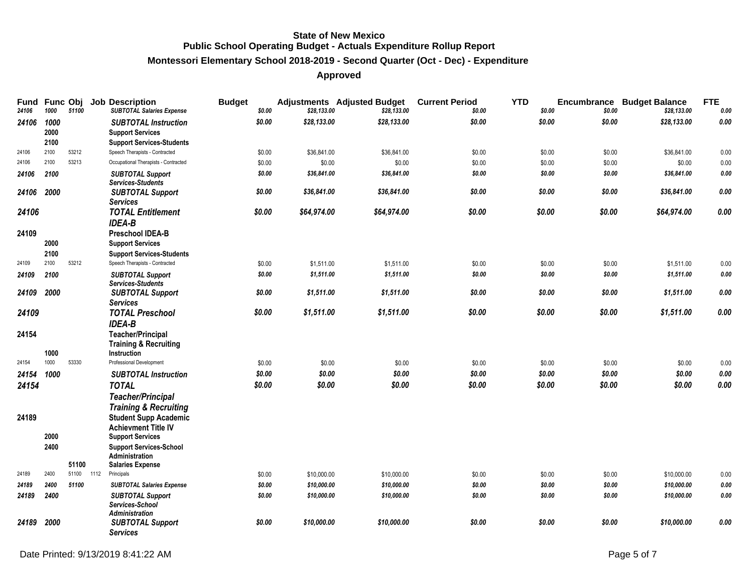# **Montessori Elementary School 2018-2019 - Second Quarter (Oct - Dec) - Expenditure**

| Fund<br>24106 | <b>Func Obj</b><br>1000 | 51100 |      | <b>Job Description</b><br><b>SUBTOTAL Salaries Expense</b>  | <b>Budget</b><br>\$0.00 | \$28,133.00 | <b>Adjustments</b> Adjusted Budget<br>\$28,133.00 | <b>Current Period</b><br>\$0.00 | <b>YTD</b><br>\$0.00 | Encumbrance<br>\$0.00 | <b>Budget Balance</b><br>\$28,133.00 | <b>FTE</b><br>0.00 |
|---------------|-------------------------|-------|------|-------------------------------------------------------------|-------------------------|-------------|---------------------------------------------------|---------------------------------|----------------------|-----------------------|--------------------------------------|--------------------|
| 24106         | 1000<br>2000            |       |      | <b>SUBTOTAL Instruction</b>                                 | \$0.00                  | \$28,133.00 | \$28,133.00                                       | \$0.00                          | \$0.00               | \$0.00                | \$28,133.00                          | 0.00               |
|               | 2100                    |       |      | <b>Support Services</b><br><b>Support Services-Students</b> |                         |             |                                                   |                                 |                      |                       |                                      |                    |
| 24106         | 2100                    | 53212 |      | Speech Therapists - Contracted                              | \$0.00                  | \$36,841.00 | \$36,841.00                                       | \$0.00                          | \$0.00               | \$0.00                | \$36,841.00                          | 0.00               |
| 24106         | 2100                    | 53213 |      | Occupational Therapists - Contracted                        | \$0.00                  | \$0.00      | \$0.00                                            | \$0.00                          | \$0.00               | \$0.00                | \$0.00                               | 0.00               |
| 24106         | 2100                    |       |      | <b>SUBTOTAL Support</b>                                     | \$0.00                  | \$36,841.00 | \$36,841.00                                       | \$0.00                          | \$0.00               | \$0.00                | \$36,841.00                          | 0.00               |
|               |                         |       |      | <b>Services-Students</b>                                    |                         |             |                                                   |                                 |                      |                       |                                      |                    |
| 24106         | 2000                    |       |      | <b>SUBTOTAL Support</b><br><b>Services</b>                  | \$0.00                  | \$36,841.00 | \$36,841.00                                       | \$0.00                          | \$0.00               | \$0.00                | \$36,841.00                          | 0.00               |
| 24106         |                         |       |      | <b>TOTAL Entitlement</b>                                    | \$0.00                  | \$64,974.00 | \$64,974.00                                       | \$0.00                          | \$0.00               | \$0.00                | \$64,974.00                          | 0.00               |
|               |                         |       |      | <b>IDEA-B</b>                                               |                         |             |                                                   |                                 |                      |                       |                                      |                    |
| 24109         |                         |       |      | <b>Preschool IDEA-B</b>                                     |                         |             |                                                   |                                 |                      |                       |                                      |                    |
|               | 2000                    |       |      | <b>Support Services</b>                                     |                         |             |                                                   |                                 |                      |                       |                                      |                    |
|               | 2100                    |       |      | <b>Support Services-Students</b>                            |                         |             |                                                   |                                 |                      |                       |                                      |                    |
| 24109         | 2100                    | 53212 |      | Speech Therapists - Contracted                              | \$0.00                  | \$1,511.00  | \$1,511.00                                        | \$0.00                          | \$0.00               | \$0.00                | \$1,511.00                           | 0.00               |
| 24109         | 2100                    |       |      | <b>SUBTOTAL Support</b><br><b>Services-Students</b>         | \$0.00                  | \$1,511.00  | \$1,511.00                                        | \$0.00                          | \$0.00               | \$0.00                | \$1,511.00                           | 0.00               |
| 24109         | 2000                    |       |      | <b>SUBTOTAL Support</b>                                     | \$0.00                  | \$1,511.00  | \$1,511.00                                        | \$0.00                          | \$0.00               | \$0.00                | \$1,511.00                           | 0.00               |
|               |                         |       |      | <b>Services</b>                                             |                         |             |                                                   |                                 |                      |                       |                                      |                    |
| 24109         |                         |       |      | <b>TOTAL Preschool</b><br><b>IDEA-B</b>                     | \$0.00                  | \$1,511.00  | \$1,511.00                                        | \$0.00                          | \$0.00               | \$0.00                | \$1,511.00                           | 0.00               |
| 24154         |                         |       |      | <b>Teacher/Principal</b>                                    |                         |             |                                                   |                                 |                      |                       |                                      |                    |
|               |                         |       |      | <b>Training &amp; Recruiting</b>                            |                         |             |                                                   |                                 |                      |                       |                                      |                    |
|               | 1000                    |       |      | <b>Instruction</b>                                          |                         |             |                                                   |                                 |                      |                       |                                      |                    |
| 24154         | 1000                    | 53330 |      | Professional Development                                    | \$0.00                  | \$0.00      | \$0.00                                            | \$0.00                          | \$0.00               | \$0.00                | \$0.00                               | 0.00               |
| 24154         | 1000                    |       |      | <b>SUBTOTAL Instruction</b>                                 | \$0.00                  | \$0.00      | \$0.00                                            | \$0.00                          | \$0.00               | \$0.00                | \$0.00                               | $0.00\,$           |
| 24154         |                         |       |      | <b>TOTAL</b>                                                | \$0.00                  | \$0.00      | \$0.00                                            | \$0.00                          | \$0.00               | \$0.00                | \$0.00                               | 0.00               |
|               |                         |       |      | <b>Teacher/Principal</b>                                    |                         |             |                                                   |                                 |                      |                       |                                      |                    |
|               |                         |       |      | <b>Training &amp; Recruiting</b>                            |                         |             |                                                   |                                 |                      |                       |                                      |                    |
| 24189         |                         |       |      | <b>Student Supp Academic</b>                                |                         |             |                                                   |                                 |                      |                       |                                      |                    |
|               | 2000                    |       |      | <b>Achievment Title IV</b>                                  |                         |             |                                                   |                                 |                      |                       |                                      |                    |
|               |                         |       |      | <b>Support Services</b>                                     |                         |             |                                                   |                                 |                      |                       |                                      |                    |
|               | 2400                    |       |      | <b>Support Services-School</b><br>Administration            |                         |             |                                                   |                                 |                      |                       |                                      |                    |
|               |                         | 51100 |      | <b>Salaries Expense</b>                                     |                         |             |                                                   |                                 |                      |                       |                                      |                    |
| 24189         | 2400                    | 51100 | 1112 | Principals                                                  | \$0.00                  | \$10,000.00 | \$10,000.00                                       | \$0.00                          | \$0.00               | \$0.00                | \$10,000.00                          | 0.00               |
| 24189         | 2400                    | 51100 |      | <b>SUBTOTAL Salaries Expense</b>                            | \$0.00                  | \$10,000.00 | \$10,000.00                                       | \$0.00                          | \$0.00               | \$0.00                | \$10,000.00                          | 0.00               |
| 24189         | 2400                    |       |      | <b>SUBTOTAL Support</b>                                     | \$0.00                  | \$10,000.00 | \$10,000.00                                       | \$0.00                          | \$0.00               | \$0.00                | \$10,000.00                          | 0.00               |
|               |                         |       |      | Services-School<br><b>Administration</b>                    |                         |             |                                                   |                                 |                      |                       |                                      |                    |
| 24189         | 2000                    |       |      | <b>SUBTOTAL Support</b><br><b>Services</b>                  | \$0.00                  | \$10,000.00 | \$10,000.00                                       | \$0.00                          | \$0.00               | \$0.00                | \$10,000.00                          | 0.00               |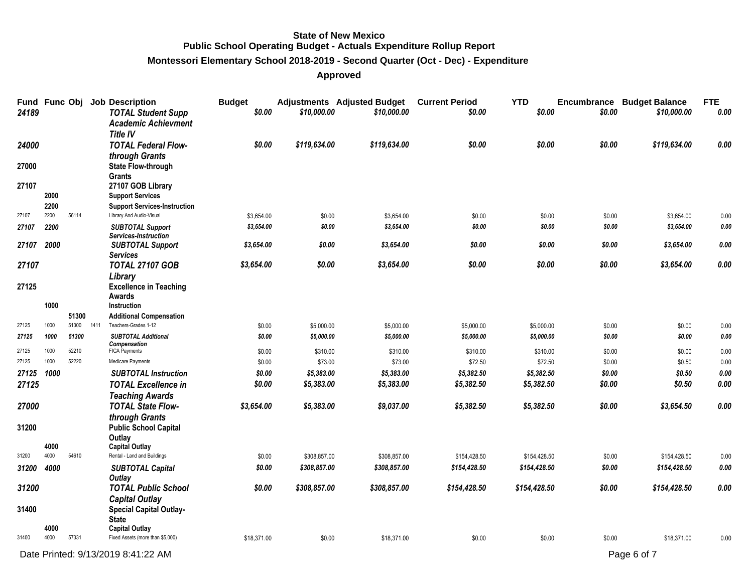#### **Montessori Elementary School 2018-2019 - Second Quarter (Oct - Dec) - Expenditure**

| Fund Func Obj<br>24189 |      |                |      | <b>Job Description</b><br><b>TOTAL Student Supp</b><br><b>Academic Achievment</b> | <b>Budget</b><br>\$0.00 | \$10,000.00  | <b>Adjustments</b> Adjusted Budget<br>\$10,000.00 | <b>Current Period</b><br>\$0.00 | <b>YTD</b><br>\$0.00 | \$0.00 | <b>Encumbrance Budget Balance</b><br>\$10,000.00 | <b>FTE</b><br>0.00 |
|------------------------|------|----------------|------|-----------------------------------------------------------------------------------|-------------------------|--------------|---------------------------------------------------|---------------------------------|----------------------|--------|--------------------------------------------------|--------------------|
| 24000                  |      |                |      | <b>Title IV</b><br><b>TOTAL Federal Flow-</b>                                     | \$0.00                  | \$119,634.00 | \$119,634.00                                      | \$0.00                          | \$0.00               | \$0.00 | \$119,634.00                                     | 0.00               |
|                        |      |                |      | through Grants                                                                    |                         |              |                                                   |                                 |                      |        |                                                  |                    |
| 27000                  |      |                |      | <b>State Flow-through</b><br><b>Grants</b>                                        |                         |              |                                                   |                                 |                      |        |                                                  |                    |
| 27107                  |      |                |      | 27107 GOB Library                                                                 |                         |              |                                                   |                                 |                      |        |                                                  |                    |
|                        | 2000 |                |      | <b>Support Services</b>                                                           |                         |              |                                                   |                                 |                      |        |                                                  |                    |
|                        | 2200 |                |      | <b>Support Services-Instruction</b>                                               |                         |              |                                                   |                                 |                      |        |                                                  |                    |
| 27107                  | 2200 | 56114          |      | Library And Audio-Visual                                                          | \$3,654.00              | \$0.00       | \$3,654.00                                        | \$0.00                          | \$0.00               | \$0.00 | \$3,654.00                                       | 0.00               |
| 27107                  | 2200 |                |      | <b>SUBTOTAL Support</b><br>Services-Instruction                                   | \$3,654.00              | \$0.00       | \$3,654.00                                        | \$0.00                          | \$0.00               | \$0.00 | \$3,654.00                                       | 0.00               |
| 27107                  | 2000 |                |      | <b>SUBTOTAL Support</b><br><b>Services</b>                                        | \$3,654.00              | \$0.00       | \$3,654.00                                        | \$0.00                          | \$0.00               | \$0.00 | \$3,654.00                                       | 0.00               |
| 27107                  |      |                |      | <b>TOTAL 27107 GOB</b>                                                            | \$3,654.00              | \$0.00       | \$3,654.00                                        | \$0.00                          | \$0.00               | \$0.00 | \$3,654.00                                       | 0.00               |
|                        |      |                |      | Library                                                                           |                         |              |                                                   |                                 |                      |        |                                                  |                    |
| 27125                  |      |                |      | <b>Excellence in Teaching</b>                                                     |                         |              |                                                   |                                 |                      |        |                                                  |                    |
|                        |      |                |      | Awards                                                                            |                         |              |                                                   |                                 |                      |        |                                                  |                    |
|                        | 1000 |                |      | Instruction                                                                       |                         |              |                                                   |                                 |                      |        |                                                  |                    |
| 27125                  | 1000 | 51300<br>51300 | 1411 | <b>Additional Compensation</b><br>Teachers-Grades 1-12                            | \$0.00                  | \$5,000.00   | \$5,000.00                                        | \$5,000.00                      | \$5,000.00           | \$0.00 | \$0.00                                           | 0.00               |
| 27125                  | 1000 | 51300          |      | <b>SUBTOTAL Additional</b>                                                        | \$0.00                  | \$5,000.00   | \$5,000.00                                        | \$5,000.00                      | \$5,000.00           | \$0.00 | \$0.00                                           | 0.00               |
|                        |      |                |      | Compensation                                                                      |                         |              |                                                   |                                 |                      |        |                                                  |                    |
| 27125                  | 1000 | 52210          |      | <b>FICA Payments</b>                                                              | \$0.00                  | \$310.00     | \$310.00                                          | \$310.00                        | \$310.00             | \$0.00 | \$0.00                                           | 0.00               |
| 27125                  | 1000 | 52220          |      | Medicare Payments                                                                 | \$0.00                  | \$73.00      | \$73.00                                           | \$72.50                         | \$72.50              | \$0.00 | \$0.50                                           | 0.00               |
| 27125                  | 1000 |                |      | <b>SUBTOTAL Instruction</b>                                                       | \$0.00                  | \$5,383.00   | \$5,383.00                                        | \$5,382.50                      | \$5,382.50           | \$0.00 | \$0.50                                           | $\it{0.00}$        |
| 27125                  |      |                |      | <b>TOTAL Excellence in</b>                                                        | \$0.00                  | \$5,383.00   | \$5,383.00                                        | \$5,382.50                      | \$5,382.50           | \$0.00 | \$0.50                                           | 0.00               |
|                        |      |                |      | <b>Teaching Awards</b>                                                            |                         |              |                                                   |                                 |                      |        |                                                  |                    |
| 27000                  |      |                |      | <b>TOTAL State Flow-</b>                                                          | \$3,654.00              | \$5,383.00   | \$9,037.00                                        | \$5,382.50                      | \$5,382.50           | \$0.00 | \$3,654.50                                       | 0.00               |
|                        |      |                |      | through Grants                                                                    |                         |              |                                                   |                                 |                      |        |                                                  |                    |
| 31200                  |      |                |      | <b>Public School Capital</b><br>Outlay                                            |                         |              |                                                   |                                 |                      |        |                                                  |                    |
|                        | 4000 |                |      | <b>Capital Outlay</b>                                                             |                         |              |                                                   |                                 |                      |        |                                                  |                    |
| 31200                  | 4000 | 54610          |      | Rental - Land and Buildings                                                       | \$0.00                  | \$308,857.00 | \$308,857.00                                      | \$154,428.50                    | \$154,428.50         | \$0.00 | \$154,428.50                                     | 0.00               |
| 31200                  | 4000 |                |      | <b>SUBTOTAL Capital</b><br><b>Outlay</b>                                          | \$0.00                  | \$308,857.00 | \$308,857.00                                      | \$154,428.50                    | \$154,428.50         | \$0.00 | \$154,428.50                                     | $\pmb{0.00}$       |
| 31200                  |      |                |      | <b>TOTAL Public School</b>                                                        | \$0.00                  | \$308,857.00 | \$308,857.00                                      | \$154,428.50                    | \$154,428.50         | \$0.00 | \$154,428.50                                     | 0.00               |
|                        |      |                |      | <b>Capital Outlay</b>                                                             |                         |              |                                                   |                                 |                      |        |                                                  |                    |
| 31400                  |      |                |      | <b>Special Capital Outlay-</b>                                                    |                         |              |                                                   |                                 |                      |        |                                                  |                    |
|                        |      |                |      | <b>State</b>                                                                      |                         |              |                                                   |                                 |                      |        |                                                  |                    |
|                        | 4000 |                |      | <b>Capital Outlay</b>                                                             |                         |              |                                                   |                                 |                      |        |                                                  |                    |
| 31400                  | 4000 | 57331          |      | Fixed Assets (more than \$5,000)                                                  | \$18,371.00             | \$0.00       | \$18,371.00                                       | \$0.00                          | \$0.00               | \$0.00 | \$18,371.00                                      | 0.00               |
|                        |      |                |      | Date Printed: 9/13/2019 8:41:22 AM                                                |                         |              |                                                   |                                 |                      |        | Page 6 of 7                                      |                    |